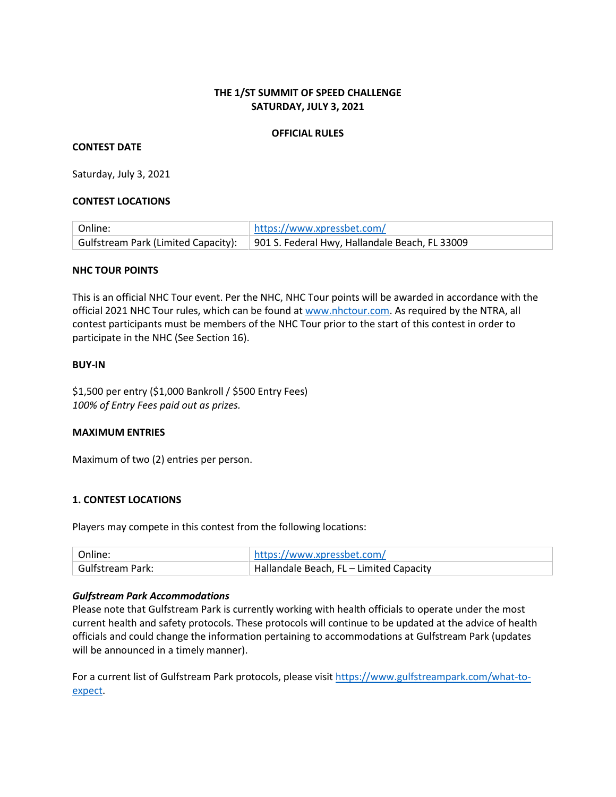## **THE 1/ST SUMMIT OF SPEED CHALLENGE SATURDAY, JULY 3, 2021**

#### **OFFICIAL RULES**

#### **CONTEST DATE**

Saturday, July 3, 2021

#### **CONTEST LOCATIONS**

| Online: | https://www.xpressbet.com/                                                         |
|---------|------------------------------------------------------------------------------------|
|         | Gulfstream Park (Limited Capacity): 901 S. Federal Hwy, Hallandale Beach, FL 33009 |

#### **NHC TOUR POINTS**

This is an official NHC Tour event. Per the NHC, NHC Tour points will be awarded in accordance with the official 2021 NHC Tour rules, which can be found at [www.nhctour.com.](http://www.nhctour.com/) As required by the NTRA, all contest participants must be members of the NHC Tour prior to the start of this contest in order to participate in the NHC (See Section 16).

#### **BUY-IN**

\$1,500 per entry (\$1,000 Bankroll / \$500 Entry Fees) *100% of Entry Fees paid out as prizes.* 

## **MAXIMUM ENTRIES**

Maximum of two (2) entries per person.

## **1. CONTEST LOCATIONS**

Players may compete in this contest from the following locations:

| Online:          | $_1$ https://www.xpressbet.com/                     |
|------------------|-----------------------------------------------------|
| Gulfstream Park: | $\parallel$ Hallandale Beach, FL – Limited Capacity |

#### *Gulfstream Park Accommodations*

Please note that Gulfstream Park is currently working with health officials to operate under the most current health and safety protocols. These protocols will continue to be updated at the advice of health officials and could change the information pertaining to accommodations at Gulfstream Park (updates will be announced in a timely manner).

For a current list of Gulfstream Park protocols, please visi[t https://www.gulfstreampark.com/what-to](https://www.gulfstreampark.com/what-to-expect)[expect.](https://www.gulfstreampark.com/what-to-expect)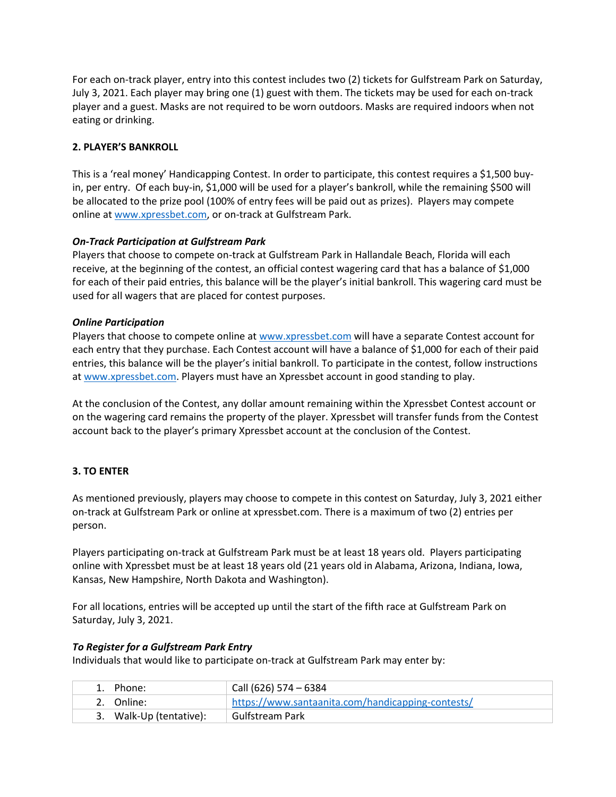For each on-track player, entry into this contest includes two (2) tickets for Gulfstream Park on Saturday, July 3, 2021. Each player may bring one (1) guest with them. The tickets may be used for each on-track player and a guest. Masks are not required to be worn outdoors. Masks are required indoors when not eating or drinking.

## **2. PLAYER'S BANKROLL**

This is a 'real money' Handicapping Contest. In order to participate, this contest requires a \$1,500 buyin, per entry. Of each buy-in, \$1,000 will be used for a player's bankroll, while the remaining \$500 will be allocated to the prize pool (100% of entry fees will be paid out as prizes). Players may compete online at [www.xpressbet.com,](http://www.xpressbet.com/) or on-track at Gulfstream Park.

## *On-Track Participation at Gulfstream Park*

Players that choose to compete on-track at Gulfstream Park in Hallandale Beach, Florida will each receive, at the beginning of the contest, an official contest wagering card that has a balance of \$1,000 for each of their paid entries, this balance will be the player's initial bankroll. This wagering card must be used for all wagers that are placed for contest purposes.

## *Online Participation*

Players that choose to compete online a[t www.xpressbet.com](http://www.xpressbet.com/) will have a separate Contest account for each entry that they purchase. Each Contest account will have a balance of \$1,000 for each of their paid entries, this balance will be the player's initial bankroll. To participate in the contest, follow instructions a[t www.xpressbet.com.](http://www.xpressbet.com/) Players must have an Xpressbet account in good standing to play.

At the conclusion of the Contest, any dollar amount remaining within the Xpressbet Contest account or on the wagering card remains the property of the player. Xpressbet will transfer funds from the Contest account back to the player's primary Xpressbet account at the conclusion of the Contest.

# **3. TO ENTER**

As mentioned previously, players may choose to compete in this contest on Saturday, July 3, 2021 either on-track at Gulfstream Park or online at xpressbet.com. There is a maximum of two (2) entries per person.

Players participating on-track at Gulfstream Park must be at least 18 years old. Players participating online with Xpressbet must be at least 18 years old (21 years old in Alabama, Arizona, Indiana, Iowa, Kansas, New Hampshire, North Dakota and Washington).

For all locations, entries will be accepted up until the start of the fifth race at Gulfstream Park on Saturday, July 3, 2021.

## *To Register for a Gulfstream Park Entry*

Individuals that would like to participate on-track at Gulfstream Park may enter by:

| 1. Phone:               | Call (626) 574 - 6384                             |
|-------------------------|---------------------------------------------------|
| 2. Online:              | https://www.santaanita.com/handicapping-contests/ |
| 3. Walk-Up (tentative): | Gulfstream Park                                   |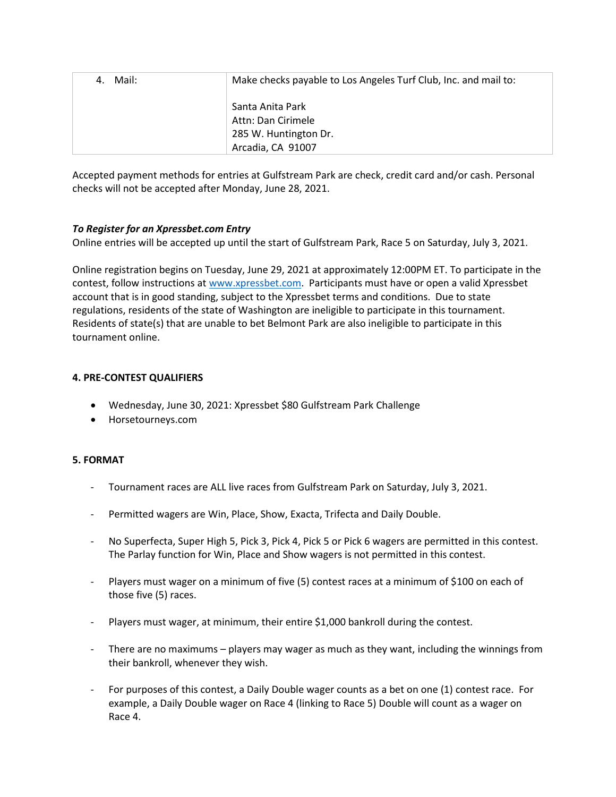| Mail:<br>4. | Make checks payable to Los Angeles Turf Club, Inc. and mail to: |
|-------------|-----------------------------------------------------------------|
|             | Santa Anita Park<br>Attn: Dan Cirimele                          |
|             | 285 W. Huntington Dr.                                           |
|             | Arcadia, CA 91007                                               |

Accepted payment methods for entries at Gulfstream Park are check, credit card and/or cash. Personal checks will not be accepted after Monday, June 28, 2021.

## *To Register for an Xpressbet.com Entry*

Online entries will be accepted up until the start of Gulfstream Park, Race 5 on Saturday, July 3, 2021.

Online registration begins on Tuesday, June 29, 2021 at approximately 12:00PM ET. To participate in the contest, follow instructions a[t www.xpressbet.com.](http://www.xpressbet.com/) Participants must have or open a valid Xpressbet account that is in good standing, subject to the Xpressbet terms and conditions. Due to state regulations, residents of the state of Washington are ineligible to participate in this tournament. Residents of state(s) that are unable to bet Belmont Park are also ineligible to participate in this tournament online.

## **4. PRE-CONTEST QUALIFIERS**

- Wednesday, June 30, 2021: Xpressbet \$80 Gulfstream Park Challenge
- Horsetourneys.com

## **5. FORMAT**

- Tournament races are ALL live races from Gulfstream Park on Saturday, July 3, 2021.
- Permitted wagers are Win, Place, Show, Exacta, Trifecta and Daily Double.
- No Superfecta, Super High 5, Pick 3, Pick 4, Pick 5 or Pick 6 wagers are permitted in this contest. The Parlay function for Win, Place and Show wagers is not permitted in this contest.
- Players must wager on a minimum of five (5) contest races at a minimum of \$100 on each of those five (5) races.
- Players must wager, at minimum, their entire \$1,000 bankroll during the contest.
- There are no maximums players may wager as much as they want, including the winnings from their bankroll, whenever they wish.
- For purposes of this contest, a Daily Double wager counts as a bet on one (1) contest race. For example, a Daily Double wager on Race 4 (linking to Race 5) Double will count as a wager on Race 4.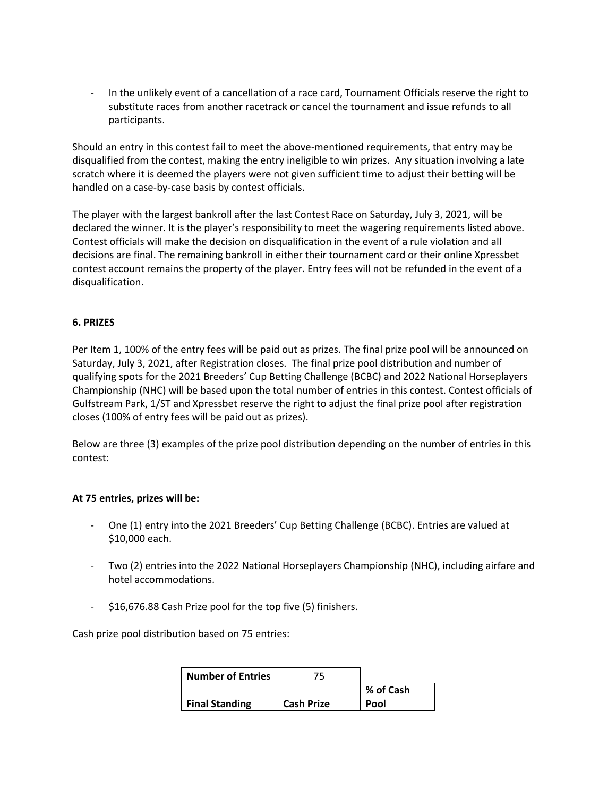In the unlikely event of a cancellation of a race card, Tournament Officials reserve the right to substitute races from another racetrack or cancel the tournament and issue refunds to all participants.

Should an entry in this contest fail to meet the above-mentioned requirements, that entry may be disqualified from the contest, making the entry ineligible to win prizes. Any situation involving a late scratch where it is deemed the players were not given sufficient time to adjust their betting will be handled on a case-by-case basis by contest officials.

The player with the largest bankroll after the last Contest Race on Saturday, July 3, 2021, will be declared the winner. It is the player's responsibility to meet the wagering requirements listed above. Contest officials will make the decision on disqualification in the event of a rule violation and all decisions are final. The remaining bankroll in either their tournament card or their online Xpressbet contest account remains the property of the player. Entry fees will not be refunded in the event of a disqualification.

## **6. PRIZES**

Per Item 1, 100% of the entry fees will be paid out as prizes. The final prize pool will be announced on Saturday, July 3, 2021, after Registration closes. The final prize pool distribution and number of qualifying spots for the 2021 Breeders' Cup Betting Challenge (BCBC) and 2022 National Horseplayers Championship (NHC) will be based upon the total number of entries in this contest. Contest officials of Gulfstream Park, 1/ST and Xpressbet reserve the right to adjust the final prize pool after registration closes (100% of entry fees will be paid out as prizes).

Below are three (3) examples of the prize pool distribution depending on the number of entries in this contest:

## **At 75 entries, prizes will be:**

- One (1) entry into the 2021 Breeders' Cup Betting Challenge (BCBC). Entries are valued at \$10,000 each.
- Two (2) entries into the 2022 National Horseplayers Championship (NHC), including airfare and hotel accommodations.
- \$16,676.88 Cash Prize pool for the top five (5) finishers.

Cash prize pool distribution based on 75 entries:

| <b>Number of Entries</b> | 75.               |           |
|--------------------------|-------------------|-----------|
|                          |                   | % of Cash |
| <b>Final Standing</b>    | <b>Cash Prize</b> | Pool      |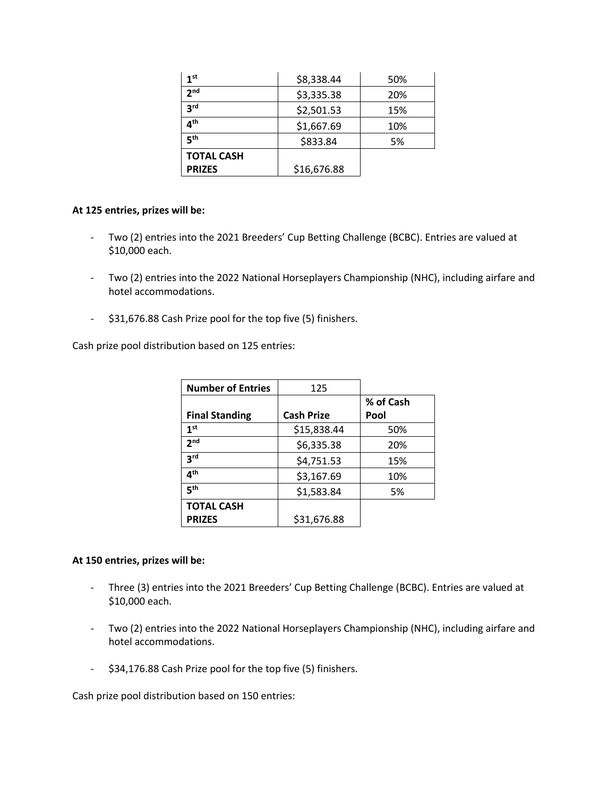| 1 <sup>st</sup>   | \$8,338.44  | 50% |
|-------------------|-------------|-----|
| 2 <sub>nd</sub>   | \$3,335.38  | 20% |
| <b>3rd</b>        | \$2,501.53  | 15% |
| ⊿th               | \$1,667.69  | 10% |
| ςth               | \$833.84    | 5%  |
| <b>TOTAL CASH</b> |             |     |
| <b>PRIZES</b>     | \$16,676.88 |     |

#### **At 125 entries, prizes will be:**

- Two (2) entries into the 2021 Breeders' Cup Betting Challenge (BCBC). Entries are valued at \$10,000 each.
- Two (2) entries into the 2022 National Horseplayers Championship (NHC), including airfare and hotel accommodations.
- \$31,676.88 Cash Prize pool for the top five (5) finishers.

Cash prize pool distribution based on 125 entries:

| <b>Number of Entries</b> | 125               |           |
|--------------------------|-------------------|-----------|
|                          |                   | % of Cash |
| <b>Final Standing</b>    | <b>Cash Prize</b> | Pool      |
| 1 <sup>st</sup>          | \$15,838.44       | 50%       |
| 2 <sub>nd</sub>          | \$6,335.38        | 20%       |
| 3 <sup>rd</sup>          | \$4,751.53        | 15%       |
| ⊿ <sup>th</sup>          | \$3,167.69        | 10%       |
| 5 <sup>th</sup>          | \$1,583.84        | 5%        |
| <b>TOTAL CASH</b>        |                   |           |
| <b>PRIZES</b>            | \$31,676.88       |           |

## **At 150 entries, prizes will be:**

- Three (3) entries into the 2021 Breeders' Cup Betting Challenge (BCBC). Entries are valued at \$10,000 each.
- Two (2) entries into the 2022 National Horseplayers Championship (NHC), including airfare and hotel accommodations.
- \$34,176.88 Cash Prize pool for the top five (5) finishers.

Cash prize pool distribution based on 150 entries: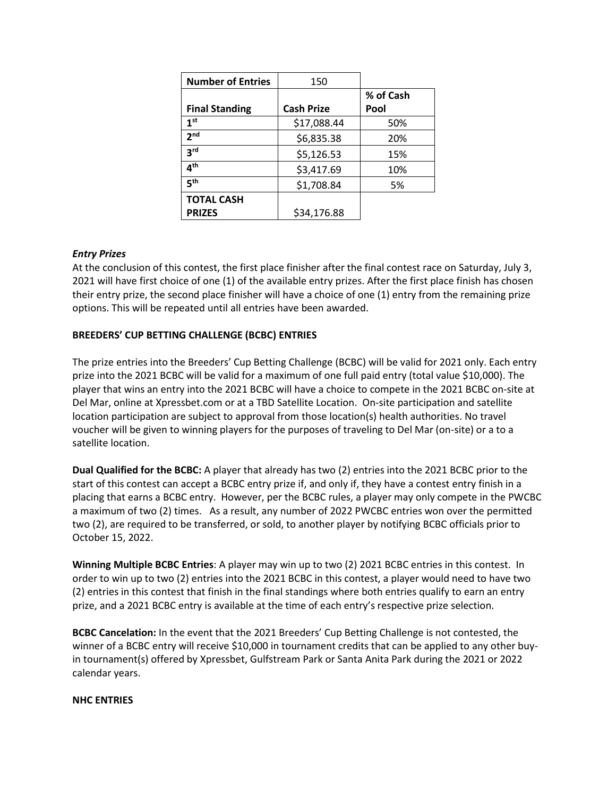| <b>Number of Entries</b> | 150               |           |
|--------------------------|-------------------|-----------|
|                          |                   | % of Cash |
| <b>Final Standing</b>    | <b>Cash Prize</b> | Pool      |
| 1 <sup>st</sup>          | \$17,088.44       | 50%       |
| 2 <sub>nd</sub>          | \$6,835.38        | 20%       |
| 3rd                      | \$5,126.53        | 15%       |
| 4 <sup>th</sup>          | \$3,417.69        | 10%       |
| 5 <sup>th</sup>          | \$1,708.84        | 5%        |
| <b>TOTAL CASH</b>        |                   |           |
| <b>PRIZES</b>            | \$34,176.88       |           |

## *Entry Prizes*

At the conclusion of this contest, the first place finisher after the final contest race on Saturday, July 3, 2021 will have first choice of one (1) of the available entry prizes. After the first place finish has chosen their entry prize, the second place finisher will have a choice of one (1) entry from the remaining prize options. This will be repeated until all entries have been awarded.

## **BREEDERS' CUP BETTING CHALLENGE (BCBC) ENTRIES**

The prize entries into the Breeders' Cup Betting Challenge (BCBC) will be valid for 2021 only. Each entry prize into the 2021 BCBC will be valid for a maximum of one full paid entry (total value \$10,000). The player that wins an entry into the 2021 BCBC will have a choice to compete in the 2021 BCBC on-site at Del Mar, online at Xpressbet.com or at a TBD Satellite Location. On-site participation and satellite location participation are subject to approval from those location(s) health authorities. No travel voucher will be given to winning players for the purposes of traveling to Del Mar (on-site) or a to a satellite location.

**Dual Qualified for the BCBC:** A player that already has two (2) entries into the 2021 BCBC prior to the start of this contest can accept a BCBC entry prize if, and only if, they have a contest entry finish in a placing that earns a BCBC entry. However, per the BCBC rules, a player may only compete in the PWCBC a maximum of two (2) times. As a result, any number of 2022 PWCBC entries won over the permitted two (2), are required to be transferred, or sold, to another player by notifying BCBC officials prior to October 15, 2022.

**Winning Multiple BCBC Entries**: A player may win up to two (2) 2021 BCBC entries in this contest. In order to win up to two (2) entries into the 2021 BCBC in this contest, a player would need to have two (2) entries in this contest that finish in the final standings where both entries qualify to earn an entry prize, and a 2021 BCBC entry is available at the time of each entry's respective prize selection.

**BCBC Cancelation:** In the event that the 2021 Breeders' Cup Betting Challenge is not contested, the winner of a BCBC entry will receive \$10,000 in tournament credits that can be applied to any other buyin tournament(s) offered by Xpressbet, Gulfstream Park or Santa Anita Park during the 2021 or 2022 calendar years.

## **NHC ENTRIES**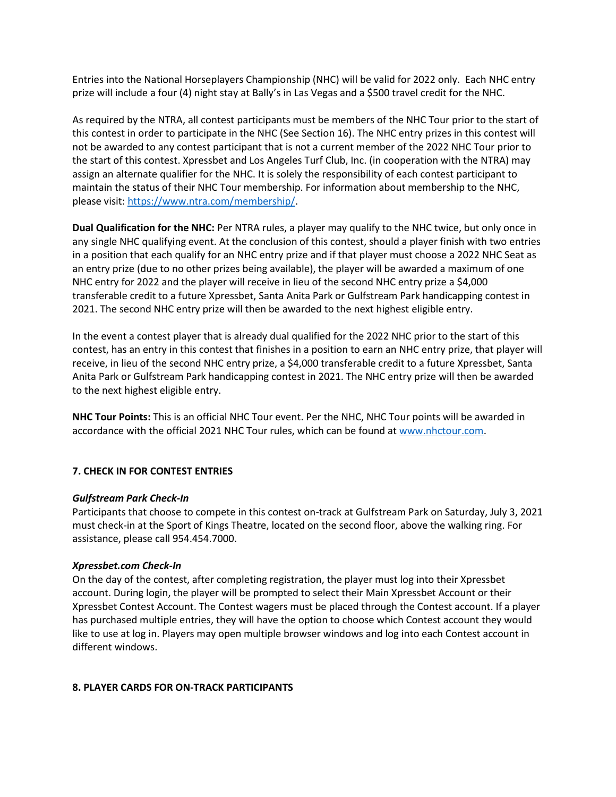Entries into the National Horseplayers Championship (NHC) will be valid for 2022 only. Each NHC entry prize will include a four (4) night stay at Bally's in Las Vegas and a \$500 travel credit for the NHC.

As required by the NTRA, all contest participants must be members of the NHC Tour prior to the start of this contest in order to participate in the NHC (See Section 16). The NHC entry prizes in this contest will not be awarded to any contest participant that is not a current member of the 2022 NHC Tour prior to the start of this contest. Xpressbet and Los Angeles Turf Club, Inc. (in cooperation with the NTRA) may assign an alternate qualifier for the NHC. It is solely the responsibility of each contest participant to maintain the status of their NHC Tour membership. For information about membership to the NHC, please visit[: https://www.ntra.com/membership/.](https://www.ntra.com/membership/)

**Dual Qualification for the NHC:** Per NTRA rules, a player may qualify to the NHC twice, but only once in any single NHC qualifying event. At the conclusion of this contest, should a player finish with two entries in a position that each qualify for an NHC entry prize and if that player must choose a 2022 NHC Seat as an entry prize (due to no other prizes being available), the player will be awarded a maximum of one NHC entry for 2022 and the player will receive in lieu of the second NHC entry prize a \$4,000 transferable credit to a future Xpressbet, Santa Anita Park or Gulfstream Park handicapping contest in 2021. The second NHC entry prize will then be awarded to the next highest eligible entry.

In the event a contest player that is already dual qualified for the 2022 NHC prior to the start of this contest, has an entry in this contest that finishes in a position to earn an NHC entry prize, that player will receive, in lieu of the second NHC entry prize, a \$4,000 transferable credit to a future Xpressbet, Santa Anita Park or Gulfstream Park handicapping contest in 2021. The NHC entry prize will then be awarded to the next highest eligible entry.

**NHC Tour Points:** This is an official NHC Tour event. Per the NHC, NHC Tour points will be awarded in accordance with the official 2021 NHC Tour rules, which can be found at [www.nhctour.com.](http://www.nhctour.com/)

## **7. CHECK IN FOR CONTEST ENTRIES**

## *Gulfstream Park Check-In*

Participants that choose to compete in this contest on-track at Gulfstream Park on Saturday, July 3, 2021 must check-in at the Sport of Kings Theatre, located on the second floor, above the walking ring. For assistance, please call 954.454.7000.

#### *Xpressbet.com Check-In*

On the day of the contest, after completing registration, the player must log into their Xpressbet account. During login, the player will be prompted to select their Main Xpressbet Account or their Xpressbet Contest Account. The Contest wagers must be placed through the Contest account. If a player has purchased multiple entries, they will have the option to choose which Contest account they would like to use at log in. Players may open multiple browser windows and log into each Contest account in different windows.

#### **8. PLAYER CARDS FOR ON-TRACK PARTICIPANTS**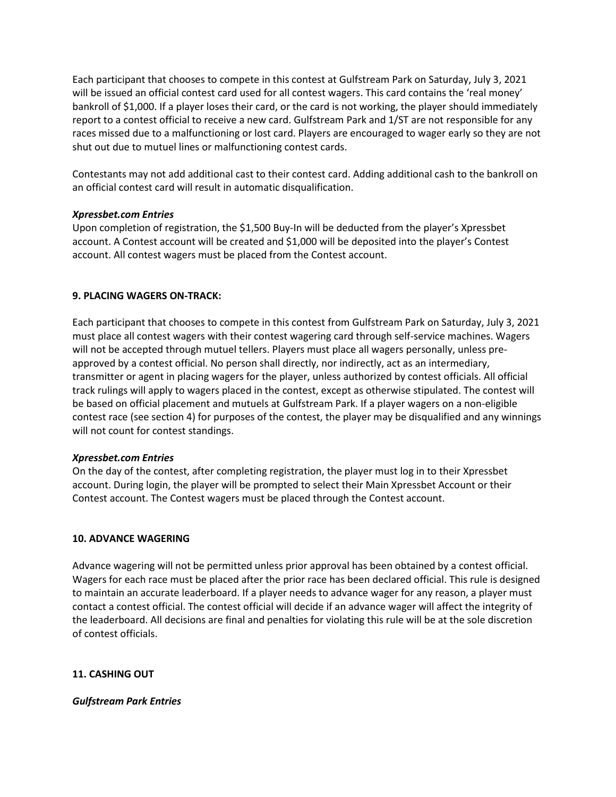Each participant that chooses to compete in this contest at Gulfstream Park on Saturday, July 3, 2021 will be issued an official contest card used for all contest wagers. This card contains the 'real money' bankroll of \$1,000. If a player loses their card, or the card is not working, the player should immediately report to a contest official to receive a new card. Gulfstream Park and 1/ST are not responsible for any races missed due to a malfunctioning or lost card. Players are encouraged to wager early so they are not shut out due to mutuel lines or malfunctioning contest cards.

Contestants may not add additional cast to their contest card. Adding additional cash to the bankroll on an official contest card will result in automatic disqualification.

## *Xpressbet.com Entries*

Upon completion of registration, the \$1,500 Buy-In will be deducted from the player's Xpressbet account. A Contest account will be created and \$1,000 will be deposited into the player's Contest account. All contest wagers must be placed from the Contest account.

# **9. PLACING WAGERS ON-TRACK:**

Each participant that chooses to compete in this contest from Gulfstream Park on Saturday, July 3, 2021 must place all contest wagers with their contest wagering card through self-service machines. Wagers will not be accepted through mutuel tellers. Players must place all wagers personally, unless preapproved by a contest official. No person shall directly, nor indirectly, act as an intermediary, transmitter or agent in placing wagers for the player, unless authorized by contest officials. All official track rulings will apply to wagers placed in the contest, except as otherwise stipulated. The contest will be based on official placement and mutuels at Gulfstream Park. If a player wagers on a non-eligible contest race (see section 4) for purposes of the contest, the player may be disqualified and any winnings will not count for contest standings.

# *Xpressbet.com Entries*

On the day of the contest, after completing registration, the player must log in to their Xpressbet account. During login, the player will be prompted to select their Main Xpressbet Account or their Contest account. The Contest wagers must be placed through the Contest account.

# **10. ADVANCE WAGERING**

Advance wagering will not be permitted unless prior approval has been obtained by a contest official. Wagers for each race must be placed after the prior race has been declared official. This rule is designed to maintain an accurate leaderboard. If a player needs to advance wager for any reason, a player must contact a contest official. The contest official will decide if an advance wager will affect the integrity of the leaderboard. All decisions are final and penalties for violating this rule will be at the sole discretion of contest officials.

# **11. CASHING OUT**

## *Gulfstream Park Entries*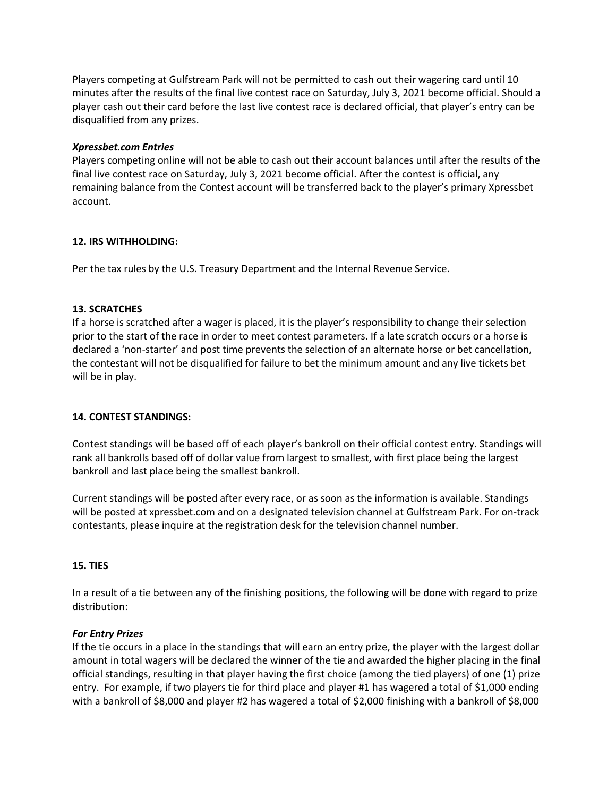Players competing at Gulfstream Park will not be permitted to cash out their wagering card until 10 minutes after the results of the final live contest race on Saturday, July 3, 2021 become official. Should a player cash out their card before the last live contest race is declared official, that player's entry can be disqualified from any prizes.

## *Xpressbet.com Entries*

Players competing online will not be able to cash out their account balances until after the results of the final live contest race on Saturday, July 3, 2021 become official. After the contest is official, any remaining balance from the Contest account will be transferred back to the player's primary Xpressbet account.

## **12. IRS WITHHOLDING:**

Per the tax rules by the U.S. Treasury Department and the Internal Revenue Service.

## **13. SCRATCHES**

If a horse is scratched after a wager is placed, it is the player's responsibility to change their selection prior to the start of the race in order to meet contest parameters. If a late scratch occurs or a horse is declared a 'non-starter' and post time prevents the selection of an alternate horse or bet cancellation, the contestant will not be disqualified for failure to bet the minimum amount and any live tickets bet will be in play.

# **14. CONTEST STANDINGS:**

Contest standings will be based off of each player's bankroll on their official contest entry. Standings will rank all bankrolls based off of dollar value from largest to smallest, with first place being the largest bankroll and last place being the smallest bankroll.

Current standings will be posted after every race, or as soon as the information is available. Standings will be posted at xpressbet.com and on a designated television channel at Gulfstream Park. For on-track contestants, please inquire at the registration desk for the television channel number.

# **15. TIES**

In a result of a tie between any of the finishing positions, the following will be done with regard to prize distribution:

## *For Entry Prizes*

If the tie occurs in a place in the standings that will earn an entry prize, the player with the largest dollar amount in total wagers will be declared the winner of the tie and awarded the higher placing in the final official standings, resulting in that player having the first choice (among the tied players) of one (1) prize entry. For example, if two players tie for third place and player #1 has wagered a total of \$1,000 ending with a bankroll of \$8,000 and player #2 has wagered a total of \$2,000 finishing with a bankroll of \$8,000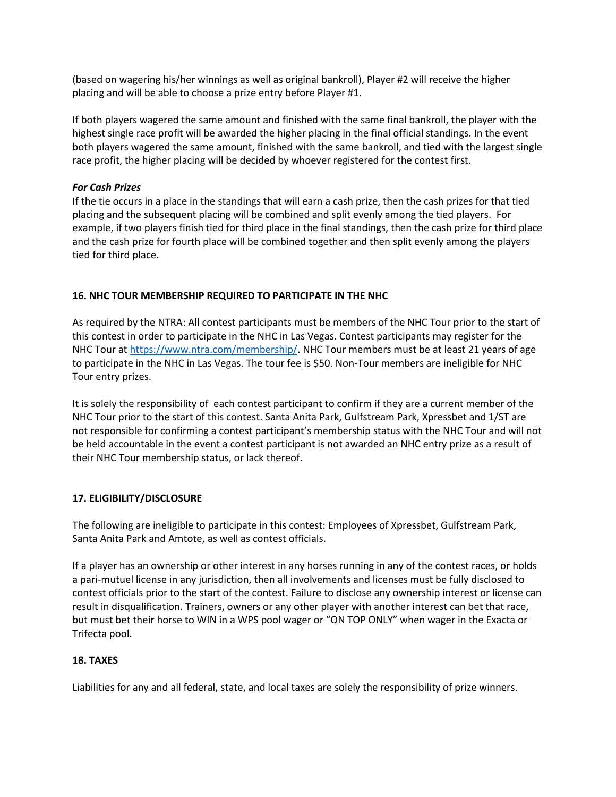(based on wagering his/her winnings as well as original bankroll), Player #2 will receive the higher placing and will be able to choose a prize entry before Player #1.

If both players wagered the same amount and finished with the same final bankroll, the player with the highest single race profit will be awarded the higher placing in the final official standings. In the event both players wagered the same amount, finished with the same bankroll, and tied with the largest single race profit, the higher placing will be decided by whoever registered for the contest first.

## *For Cash Prizes*

If the tie occurs in a place in the standings that will earn a cash prize, then the cash prizes for that tied placing and the subsequent placing will be combined and split evenly among the tied players. For example, if two players finish tied for third place in the final standings, then the cash prize for third place and the cash prize for fourth place will be combined together and then split evenly among the players tied for third place.

# **16. NHC TOUR MEMBERSHIP REQUIRED TO PARTICIPATE IN THE NHC**

As required by the NTRA: All contest participants must be members of the NHC Tour prior to the start of this contest in order to participate in the NHC in Las Vegas. Contest participants may register for the NHC Tour at [https://www.ntra.com/membership/.](https://www.ntra.com/membership/) NHC Tour members must be at least 21 years of age to participate in the NHC in Las Vegas. The tour fee is \$50. Non-Tour members are ineligible for NHC Tour entry prizes.

It is solely the responsibility of each contest participant to confirm if they are a current member of the NHC Tour prior to the start of this contest. Santa Anita Park, Gulfstream Park, Xpressbet and 1/ST are not responsible for confirming a contest participant's membership status with the NHC Tour and will not be held accountable in the event a contest participant is not awarded an NHC entry prize as a result of their NHC Tour membership status, or lack thereof.

## **17. ELIGIBILITY/DISCLOSURE**

The following are ineligible to participate in this contest: Employees of Xpressbet, Gulfstream Park, Santa Anita Park and Amtote, as well as contest officials.

If a player has an ownership or other interest in any horses running in any of the contest races, or holds a pari-mutuel license in any jurisdiction, then all involvements and licenses must be fully disclosed to contest officials prior to the start of the contest. Failure to disclose any ownership interest or license can result in disqualification. Trainers, owners or any other player with another interest can bet that race, but must bet their horse to WIN in a WPS pool wager or "ON TOP ONLY" when wager in the Exacta or Trifecta pool.

## **18. TAXES**

Liabilities for any and all federal, state, and local taxes are solely the responsibility of prize winners.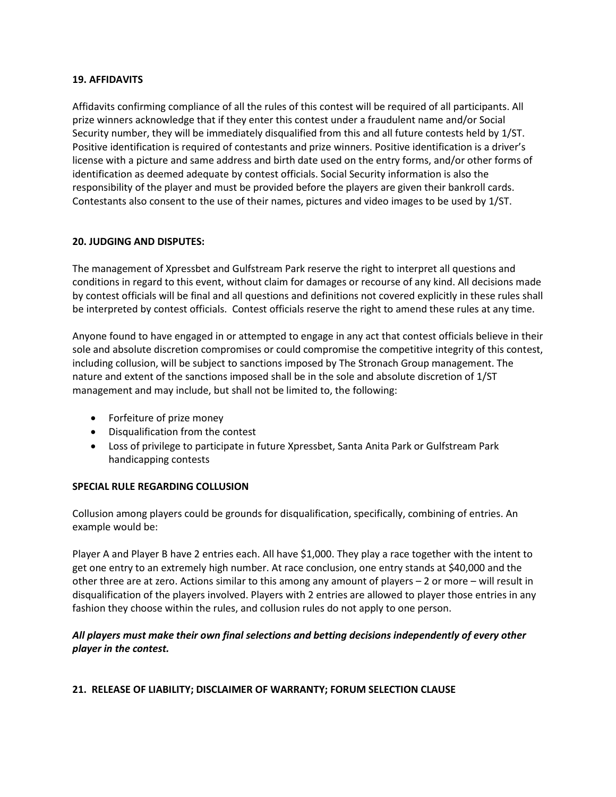#### **19. AFFIDAVITS**

Affidavits confirming compliance of all the rules of this contest will be required of all participants. All prize winners acknowledge that if they enter this contest under a fraudulent name and/or Social Security number, they will be immediately disqualified from this and all future contests held by 1/ST. Positive identification is required of contestants and prize winners. Positive identification is a driver's license with a picture and same address and birth date used on the entry forms, and/or other forms of identification as deemed adequate by contest officials. Social Security information is also the responsibility of the player and must be provided before the players are given their bankroll cards. Contestants also consent to the use of their names, pictures and video images to be used by 1/ST.

## **20. JUDGING AND DISPUTES:**

The management of Xpressbet and Gulfstream Park reserve the right to interpret all questions and conditions in regard to this event, without claim for damages or recourse of any kind. All decisions made by contest officials will be final and all questions and definitions not covered explicitly in these rules shall be interpreted by contest officials. Contest officials reserve the right to amend these rules at any time.

Anyone found to have engaged in or attempted to engage in any act that contest officials believe in their sole and absolute discretion compromises or could compromise the competitive integrity of this contest, including collusion, will be subject to sanctions imposed by The Stronach Group management. The nature and extent of the sanctions imposed shall be in the sole and absolute discretion of 1/ST management and may include, but shall not be limited to, the following:

- Forfeiture of prize money
- Disqualification from the contest
- Loss of privilege to participate in future Xpressbet, Santa Anita Park or Gulfstream Park handicapping contests

## **SPECIAL RULE REGARDING COLLUSION**

Collusion among players could be grounds for disqualification, specifically, combining of entries. An example would be:

Player A and Player B have 2 entries each. All have \$1,000. They play a race together with the intent to get one entry to an extremely high number. At race conclusion, one entry stands at \$40,000 and the other three are at zero. Actions similar to this among any amount of players – 2 or more – will result in disqualification of the players involved. Players with 2 entries are allowed to player those entries in any fashion they choose within the rules, and collusion rules do not apply to one person.

## *All players must make their own final selections and betting decisions independently of every other player in the contest.*

## **21. RELEASE OF LIABILITY; DISCLAIMER OF WARRANTY; FORUM SELECTION CLAUSE**